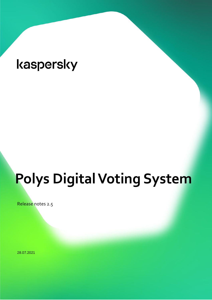# **Polys Digital Voting System**

Release notes 2.5

28.07.2021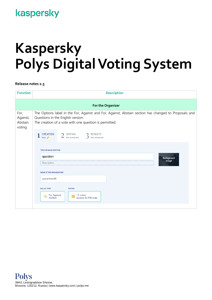## **Kaspersky Polys Digital Voting System**

**Release notes 2.5**

| <b>Function</b>                       | <b>Description</b>                                                                                                                                                                                  |  |  |
|---------------------------------------|-----------------------------------------------------------------------------------------------------------------------------------------------------------------------------------------------------|--|--|
|                                       | For the Organizer                                                                                                                                                                                   |  |  |
| For,<br>Against,<br>Abstain<br>voting | The Options label in the For, Against and For, Against, Abstain section has changed to Proposals and<br>Questions in the English version.<br>The creation of a vote with one question is permitted. |  |  |
|                                       | CREATION<br>Now ♪<br>$2$ VOTING<br><b>RESULTS</b><br>Not scheduled                                                                                                                                  |  |  |
|                                       | TITLE OR MAIN QUESTION                                                                                                                                                                              |  |  |
|                                       | question<br>Background                                                                                                                                                                              |  |  |
|                                       | image<br>Description                                                                                                                                                                                |  |  |
|                                       | <b>NAME OF THE ORGANIZATION</b><br>ryazantseval9                                                                                                                                                    |  |  |
|                                       | <b>BALLOT TYPE</b><br><b>VOTERS</b><br>For, Against,<br>12 voters<br>Ŕ<br>Abstain<br>access: by PIN code                                                                                            |  |  |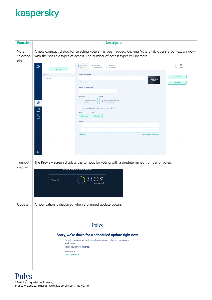| <b>Function</b>              | <b>Description</b>                                                                                                                                                                                                                                                                                                                                                                                                                                                                                                                                                                                                                                                                                                  |  |  |
|------------------------------|---------------------------------------------------------------------------------------------------------------------------------------------------------------------------------------------------------------------------------------------------------------------------------------------------------------------------------------------------------------------------------------------------------------------------------------------------------------------------------------------------------------------------------------------------------------------------------------------------------------------------------------------------------------------------------------------------------------------|--|--|
| Voter<br>selection<br>dialog | A new compact dialog for selecting voters has been added. Clicking Voters tab opens a context window<br>with the possible types of access. The number of access types will increase.                                                                                                                                                                                                                                                                                                                                                                                                                                                                                                                                |  |  |
|                              | b<br>$1 \frac{\text{CREATION}}{\text{Now } \phi}$<br>一回<br>$2$ VOTING<br>$\mathcal{D}$ RESULTS<br>D<br>$\sum$ Not scheduled<br>Copy Delete<br>New vote<br>TITLE OR MAIN QUESTION<br>$\oslash$ New vote<br>◎ Preview<br><b>E ARCHIVE</b><br>Background<br>image<br>Description<br><b>Create vote</b><br>NAME OF THE ORGANIZATION<br><b>BALLOT TYPE</b><br><b>VOTERS</b><br>$\circledcirc$ Determine who will have<br>the right to vote<br>◉<br>Votes<br>Make results public (it will be seen who voted and how)<br>呾<br>Events<br><b>START</b><br>END<br>$\sum_{i=1}^{n}$<br>Select date<br>Select date<br><b>Voters</b><br><b>OPTIONS</b><br>1<br>$\overline{2}$<br>Add option<br>Add images and descriptions<br>తి |  |  |
| Turnout<br>display           | The Preview screen displays the turnout for voting with a predetermined number of voters.<br>men organizer nano roung<br>33,33%<br><b>Turnout</b><br>1 of 3 voted                                                                                                                                                                                                                                                                                                                                                                                                                                                                                                                                                   |  |  |
| Update                       | A notification is displayed when a planned update occurs.<br><b>Polys</b><br>Sorry, we're down for a scheduled update right now<br>So voting apps are not available right now. We do our best to complete the<br>work faster.<br>Thank you for your patience.<br>Polys team<br>https://polys.me                                                                                                                                                                                                                                                                                                                                                                                                                     |  |  |
|                              |                                                                                                                                                                                                                                                                                                                                                                                                                                                                                                                                                                                                                                                                                                                     |  |  |

Polys 39A/1 Leningradskoe Shosse, Moscow, 125212, Russia | www.kaspersky.com | polys.me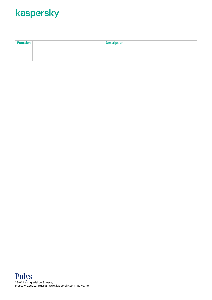| <b>Function</b> | <b>Description</b> |
|-----------------|--------------------|
|                 |                    |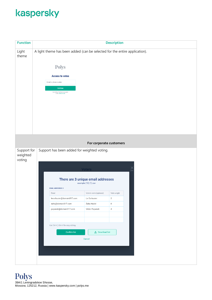| <b>Function</b>                                                                  | <b>Description</b>                                                         |                         |             |  |  |
|----------------------------------------------------------------------------------|----------------------------------------------------------------------------|-------------------------|-------------|--|--|
| Light<br>theme                                                                   | A light theme has been added (can be selected for the entire application). |                         |             |  |  |
|                                                                                  | Polys                                                                      |                         |             |  |  |
|                                                                                  | <b>Access to votes</b>                                                     |                         |             |  |  |
|                                                                                  | Email or phone number                                                      |                         |             |  |  |
|                                                                                  | Continue<br>By clicking "Continue" you agree<br>to the Terms of Use        |                         |             |  |  |
|                                                                                  |                                                                            |                         |             |  |  |
|                                                                                  |                                                                            |                         |             |  |  |
|                                                                                  |                                                                            |                         |             |  |  |
|                                                                                  |                                                                            |                         |             |  |  |
|                                                                                  |                                                                            | For corporate customers |             |  |  |
| Support for<br>Support has been added for weighted voting.<br>weighted<br>voting |                                                                            |                         |             |  |  |
|                                                                                  |                                                                            | <b>Voters</b>           | Eso         |  |  |
|                                                                                  | There are 3 unique email addresses<br>example (13) (1).csv                 |                         |             |  |  |
|                                                                                  | <b>EMAIL ADDRESSES: 3</b>                                                  |                         |             |  |  |
|                                                                                  | Email                                                                      | Voter's name (optional) | Vote weight |  |  |
|                                                                                  | lecorbusier@domain317.com                                                  | Le Corbusier            | 2           |  |  |
|                                                                                  | zaha@domain317.com                                                         | Zaha Hadid              | 6           |  |  |
|                                                                                  | papanek@domain317.com                                                      | Victor Papanek          | $\sqrt{4}$  |  |  |
|                                                                                  |                                                                            |                         |             |  |  |
|                                                                                  | Use Ctrl+C, Ctrl+V for easy editing.                                       |                         |             |  |  |
|                                                                                  | Confirm list                                                               | <b>と</b> Download list  |             |  |  |
|                                                                                  |                                                                            | Cancel                  |             |  |  |
|                                                                                  |                                                                            |                         |             |  |  |
|                                                                                  |                                                                            |                         |             |  |  |
|                                                                                  |                                                                            |                         |             |  |  |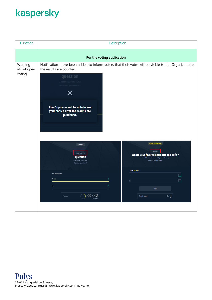| Function                        | Description                                                                                                                                                                                                                                                                                                                                                                                                                                                                                                                                                                                                                                                                                                                                                                                                                    |
|---------------------------------|--------------------------------------------------------------------------------------------------------------------------------------------------------------------------------------------------------------------------------------------------------------------------------------------------------------------------------------------------------------------------------------------------------------------------------------------------------------------------------------------------------------------------------------------------------------------------------------------------------------------------------------------------------------------------------------------------------------------------------------------------------------------------------------------------------------------------------|
|                                 | For the voting application                                                                                                                                                                                                                                                                                                                                                                                                                                                                                                                                                                                                                                                                                                                                                                                                     |
| Warning<br>about open<br>voting | Notifications have been added to inform voters that their votes will be visible to the Organizer after<br>the results are counted.<br>question<br>December, 11:40-13:31<br>Organizer: ryazantseval9<br>Х<br>The Organizer will be able to see<br>your choice after the results are<br>published.<br>Voting is under way<br>Finished<br>Secret vote<br>Open vote ②<br>What's your favorite character on Firefly?<br>question<br>From 13:35 on November 3 until Organizer halts voting<br>Organizer: LLC Organization<br>9 December, 11:40-13:31<br>Organizer: ryazantseval9<br>Choose one option.<br>You already voted.<br>$\Box$<br>1<br>1 <sup>2</sup><br>$\mathbf{1}$<br>$\Box$<br>$\overline{2}$<br>$\overline{\mathbf{2}}$<br>$\boldsymbol{0}$<br>Vote<br>33,33%<br>$\approx 3$<br>Turnout<br>People voted<br>1 of 3 voted |